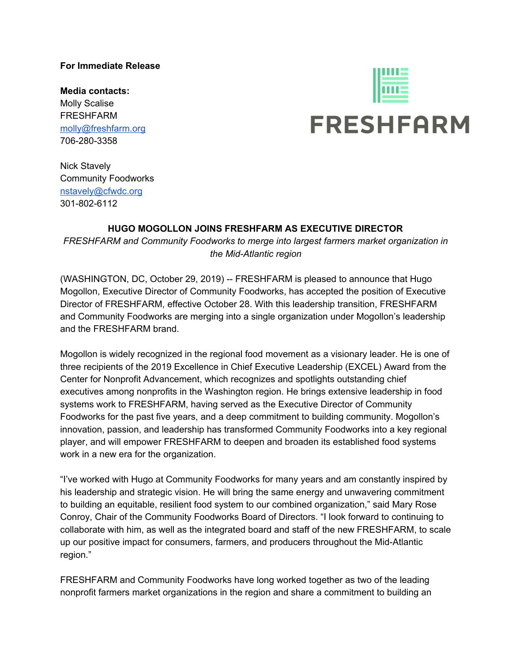## **For Immediate Release**

**Media contacts:** Molly Scalise FRESHFARM [molly@freshfarm.org](mailto:molly@freshfarm.org) 706-280-3358



## **FRESHFARM**

Nick Stavely Community Foodworks [nstavely@cfwdc.org](mailto:nstavely@cfwdc.org) 301-802-6112

## **HUGO MOGOLLON JOINS FRESHFARM AS EXECUTIVE DIRECTOR**

*FRESHFARM and Community Foodworks to merge into largest farmers market organization in the Mid-Atlantic region*

(WASHINGTON, DC, October 29, 2019) -- FRESHFARM is pleased to announce that Hugo Mogollon, Executive Director of Community Foodworks, has accepted the position of Executive Director of FRESHFARM, effective October 28. With this leadership transition, FRESHFARM and Community Foodworks are merging into a single organization under Mogollon's leadership and the FRESHFARM brand.

Mogollon is widely recognized in the regional food movement as a visionary leader. He is one of three recipients of the 2019 Excellence in Chief Executive Leadership (EXCEL) Award from the Center for Nonprofit Advancement, which recognizes and spotlights outstanding chief executives among nonprofits in the Washington region. He brings extensive leadership in food systems work to FRESHFARM, having served as the Executive Director of Community Foodworks for the past five years, and a deep commitment to building community. Mogollon's innovation, passion, and leadership has transformed Community Foodworks into a key regional player, and will empower FRESHFARM to deepen and broaden its established food systems work in a new era for the organization.

"I've worked with Hugo at Community Foodworks for many years and am constantly inspired by his leadership and strategic vision. He will bring the same energy and unwavering commitment to building an equitable, resilient food system to our combined organization," said Mary Rose Conroy, Chair of the Community Foodworks Board of Directors. "I look forward to continuing to collaborate with him, as well as the integrated board and staff of the new FRESHFARM, to scale up our positive impact for consumers, farmers, and producers throughout the Mid-Atlantic region."

FRESHFARM and Community Foodworks have long worked together as two of the leading nonprofit farmers market organizations in the region and share a commitment to building an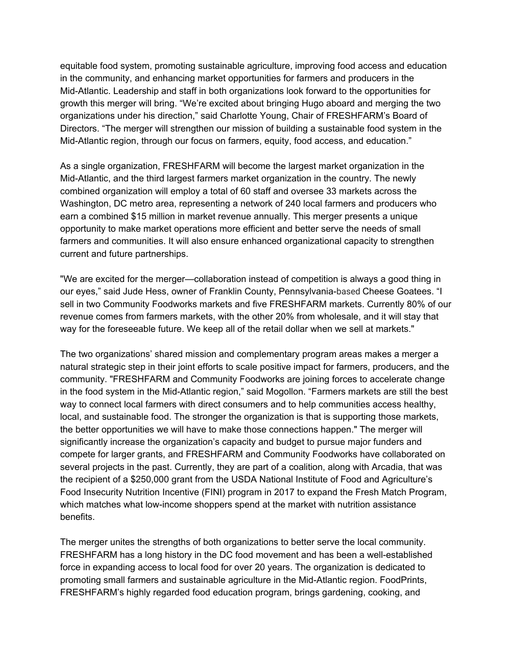equitable food system, promoting sustainable agriculture, improving food access and education in the community, and enhancing market opportunities for farmers and producers in the Mid-Atlantic. Leadership and staff in both organizations look forward to the opportunities for growth this merger will bring. "We're excited about bringing Hugo aboard and merging the two organizations under his direction," said Charlotte Young, Chair of FRESHFARM's Board of Directors. "The merger will strengthen our mission of building a sustainable food system in the Mid-Atlantic region, through our focus on farmers, equity, food access, and education."

As a single organization, FRESHFARM will become the largest market organization in the Mid-Atlantic, and the third largest farmers market organization in the country. The newly combined organization will employ a total of 60 staff and oversee 33 markets across the Washington, DC metro area, representing a network of 240 local farmers and producers who earn a combined \$15 million in market revenue annually. This merger presents a unique opportunity to make market operations more efficient and better serve the needs of small farmers and communities. It will also ensure enhanced organizational capacity to strengthen current and future partnerships.

"We are excited for the merger—collaboration instead of competition is always a good thing in our eyes," said Jude Hess, owner of Franklin County, Pennsylvania-based Cheese Goatees. "I sell in two Community Foodworks markets and five FRESHFARM markets. Currently 80% of our revenue comes from farmers markets, with the other 20% from wholesale, and it will stay that way for the foreseeable future. We keep all of the retail dollar when we sell at markets."

The two organizations' shared mission and complementary program areas makes a merger a natural strategic step in their joint efforts to scale positive impact for farmers, producers, and the community. "FRESHFARM and Community Foodworks are joining forces to accelerate change in the food system in the Mid-Atlantic region," said Mogollon. "Farmers markets are still the best way to connect local farmers with direct consumers and to help communities access healthy, local, and sustainable food. The stronger the organization is that is supporting those markets, the better opportunities we will have to make those connections happen." The merger will significantly increase the organization's capacity and budget to pursue major funders and compete for larger grants, and FRESHFARM and Community Foodworks have collaborated on several projects in the past. Currently, they are part of a coalition, along with Arcadia, that was the recipient of a \$250,000 grant from the USDA National Institute of Food and Agriculture's Food Insecurity Nutrition Incentive (FINI) program in 2017 to expand the Fresh Match Program, which matches what low-income shoppers spend at the market with nutrition assistance benefits.

The merger unites the strengths of both organizations to better serve the local community. FRESHFARM has a long history in the DC food movement and has been a well-established force in expanding access to local food for over 20 years. The organization is dedicated to promoting small farmers and sustainable agriculture in the Mid-Atlantic region. FoodPrints, FRESHFARM's highly regarded food education program, brings gardening, cooking, and